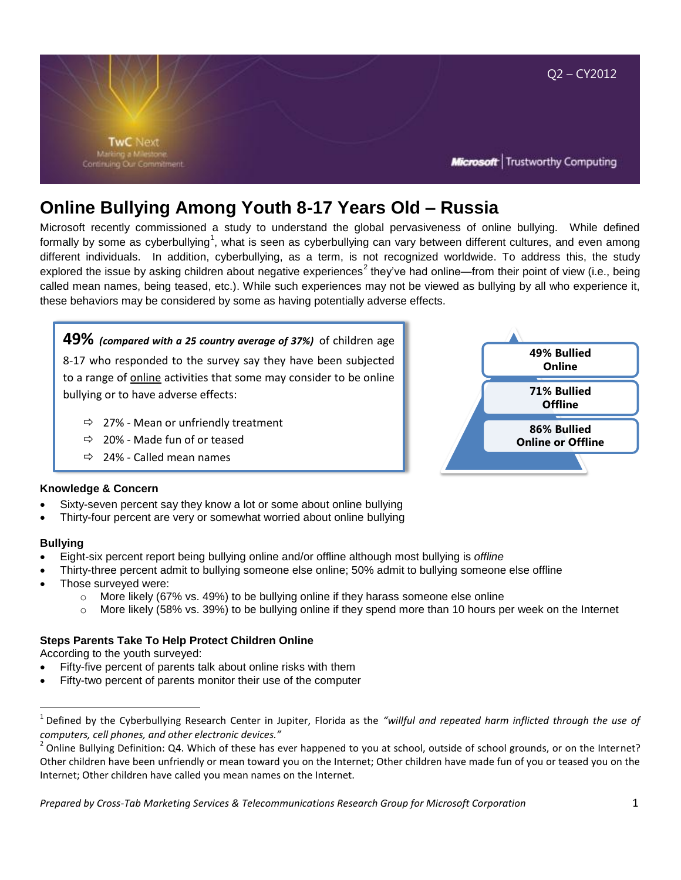

# **Online Bullying Among Youth 8-17 Years Old – Russia**

Microsoft recently commissioned a study to understand the global pervasiveness of online bullying. While defined formally by some as cyberbullying<sup>1</sup>, what is seen as cyberbullying can vary between different cultures, and even among different individuals. In addition, cyberbullying, as a term, is not recognized worldwide. To address this, the study explored the issue by asking children about negative experiences<sup>2</sup> they've had online—from their point of view (i.e., being called mean names, being teased, etc.). While such experiences may not be viewed as bullying by all who experience it, these behaviors may be considered by some as having potentially adverse effects.

**49%** *(compared with a 25 country average of 37%)* of children age 8-17 who responded to the survey say they have been subjected to a range of **online** activities that some may consider to be online bullying or to have adverse effects:

- $\Rightarrow$  27% Mean or unfriendly treatment
- $\Rightarrow$  20% Made fun of or teased
- $\Rightarrow$  24% Called mean names

# **49% Bullied Online 71% Bullied Offline 86% Bullied Online or Offline**

# **Knowledge & Concern**

- Sixty-seven percent say they know a lot or some about online bullying
- Thirty-four percent are very or somewhat worried about online bullying

#### **Bullying**

 $\overline{\phantom{a}}$ 

- Eight-six percent report being bullying online and/or offline although most bullying is *offline*
- Thirty-three percent admit to bullying someone else online; 50% admit to bullying someone else offline
- Those surveyed were:
	- $\circ$  More likely (67% vs. 49%) to be bullying online if they harass someone else online
	- $\circ$  More likely (58% vs. 39%) to be bullying online if they spend more than 10 hours per week on the Internet

# **Steps Parents Take To Help Protect Children Online**

According to the youth surveyed:

- Fifty-five percent of parents talk about online risks with them
- Fifty-two percent of parents monitor their use of the computer

<sup>1</sup> Defined by the Cyberbullying Research Center in Jupiter, Florida as the *"willful and repeated harm inflicted through the use of computers, cell phones, and other electronic devices."*

 $^2$  Online Bullying Definition: Q4. Which of these has ever happened to you at school, outside of school grounds, or on the Internet? Other children have been unfriendly or mean toward you on the Internet; Other children have made fun of you or teased you on the Internet; Other children have called you mean names on the Internet.